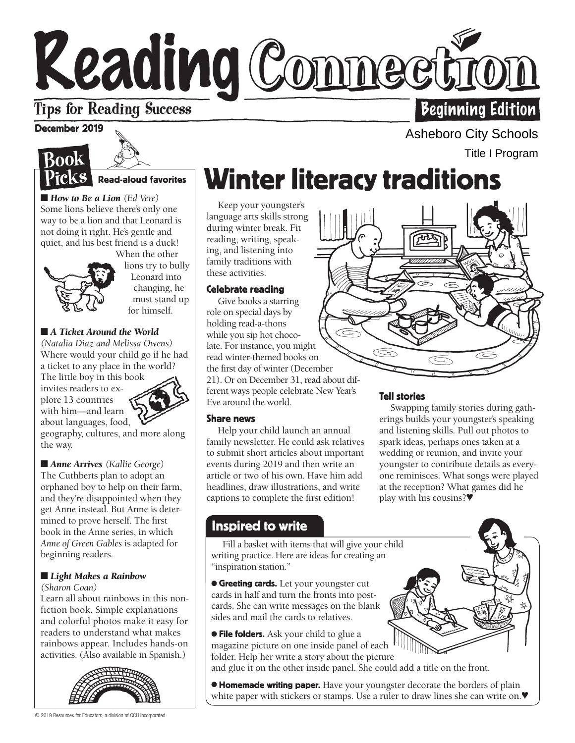# Reading Conneet **Tips for Reading Success Beginning Edition**

## December 2019





■ *How to Be a Lion* (*Ed Vere*) Some lions believe there's only one way to be a lion and that Leonard is not doing it right. He's gentle and quiet, and his best friend is a duck!



When the other lions try to bully Leonard into changing, he must stand up for himself.

## ■ *A Ticket Around the World*

*(Natalia Diaz and Melissa Owens)* Where would your child go if he had a ticket to any place in the world?

about languages, food, The little boy in this book invites readers to explore 13 countries with him—and learn



geography, cultures, and more along the way.

■ *Anne Arrives (Kallie George)* The Cuthberts plan to adopt an orphaned boy to help on their farm, and they're disappointed when they get Anne instead. But Anne is determined to prove herself. The first book in the Anne series, in which *Anne of Green Gables* is adapted for beginning readers.

## ■ *Light Makes a Rainbow*

*(Sharon Coan)*

Learn all about rainbows in this nonfiction book. Simple explanations and colorful photos make it easy for readers to understand what makes rainbows appear. Includes hands-on activities. (Also available in Spanish.)



# Winter literacy traditions

Keep your youngster's language arts skills strong during winter break. Fit reading, writing, speaking, and listening into family traditions with these activities.

## Celebrate reading

Give books a starring role on special days by holding read-a-thons while you sip hot chocolate. For instance, you might read winter-themed books on the first day of winter (December 21). Or on December 31, read about different ways people celebrate New Year's Eve around the world.

### Share news

Help your child launch an annual family newsletter. He could ask relatives to submit short articles about important events during 2019 and then write an article or two of his own. Have him add headlines, draw illustrations, and write captions to complete the first edition!

## Tell stories

Swapping family stories during gatherings builds your youngster's speaking and listening skills. Pull out photos to spark ideas, perhaps ones taken at a wedding or reunion, and invite your youngster to contribute details as everyone reminisces. What songs were played at the reception? What games did he play with his cousins?♥

## Inspired to write

w Fill a basket with items that will give your child writing practice. Here are ideas for creating an "inspiration station."

**• Greeting cards.** Let your youngster cut cards in half and turn the fronts into postcards. She can write messages on the blank sides and mail the cards to relatives.

**• File folders.** Ask your child to glue a magazine picture on one inside panel of each folder. Help her write a story about the picture

and glue it on the other inside panel. She could add a title on the front.

**• Homemade writing paper.** Have your youngster decorate the borders of plain white paper with stickers or stamps. Use a ruler to draw lines she can write on.♥

Asheboro City Schools Title I Program